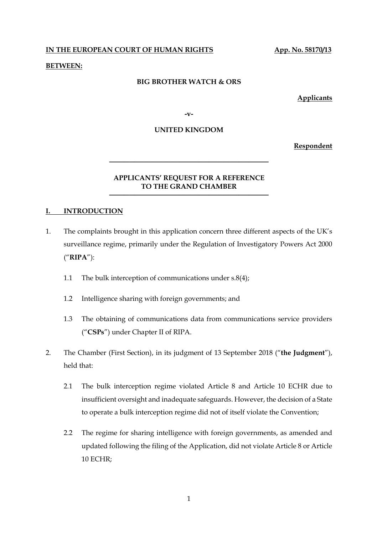**IN THE EUROPEAN COURT OF HUMAN RIGHTS App. No. 58170/13** 

## **BETWEEN:**

#### **BIG BROTHER WATCH & ORS**

**Applicants**

**-v-**

### **UNITED KINGDOM**

**Respondent**

## **APPLICANTS' REQUEST FOR A REFERENCE TO THE GRAND CHAMBER**

**────────────────────────────────**

**────────────────────────────────**

### **I. INTRODUCTION**

- 1. The complaints brought in this application concern three different aspects of the UK's surveillance regime, primarily under the Regulation of Investigatory Powers Act 2000 ("**RIPA**"):
	- 1.1 The bulk interception of communications under s.8(4);
	- 1.2 Intelligence sharing with foreign governments; and
	- 1.3 The obtaining of communications data from communications service providers ("**CSPs**") under Chapter II of RIPA.
- 2. The Chamber (First Section), in its judgment of 13 September 2018 ("**the Judgment**"), held that:
	- 2.1 The bulk interception regime violated Article 8 and Article 10 ECHR due to insufficient oversight and inadequate safeguards. However, the decision of a State to operate a bulk interception regime did not of itself violate the Convention;
	- 2.2 The regime for sharing intelligence with foreign governments, as amended and updated following the filing of the Application, did not violate Article 8 or Article 10 ECHR;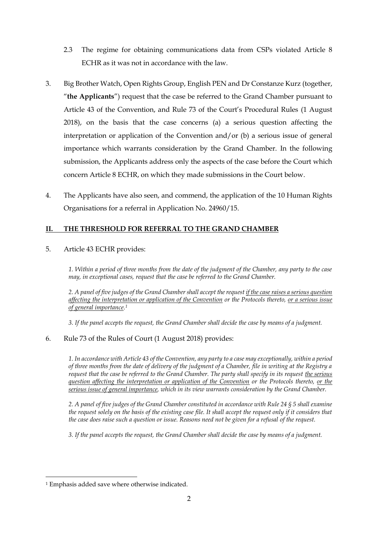- 2.3 The regime for obtaining communications data from CSPs violated Article 8 ECHR as it was not in accordance with the law.
- 3. Big Brother Watch, Open Rights Group, English PEN and Dr Constanze Kurz (together, "**the Applicants**") request that the case be referred to the Grand Chamber pursuant to Article 43 of the Convention, and Rule 73 of the Court's Procedural Rules (1 August 2018), on the basis that the case concerns (a) a serious question affecting the interpretation or application of the Convention and/or (b) a serious issue of general importance which warrants consideration by the Grand Chamber. In the following submission, the Applicants address only the aspects of the case before the Court which concern Article 8 ECHR, on which they made submissions in the Court below.
- 4. The Applicants have also seen, and commend, the application of the 10 Human Rights Organisations for a referral in Application No. 24960/15.

# **II. THE THRESHOLD FOR REFERRAL TO THE GRAND CHAMBER**

5. Article 43 ECHR provides:

*1. Within a period of three months from the date of the judgment of the Chamber, any party to the case may, in exceptional cases, request that the case be referred to the Grand Chamber.*

*2. A panel of five judges of the Grand Chamber shall accept the request if the case raises a serious question affecting the interpretation or application of the Convention or the Protocols thereto, or a serious issue of general importance. 1*

*3. If the panel accepts the request, the Grand Chamber shall decide the case by means of a judgment.*

## 6. Rule 73 of the Rules of Court (1 August 2018) provides:

*1. In accordance with Article 43 of the Convention, any party to a case may exceptionally, within a period of three months from the date of delivery of the judgment of a Chamber, file in writing at the Registry a request that the case be referred to the Grand Chamber. The party shall specify in its request the serious question affecting the interpretation or application of the Convention or the Protocols thereto, or the serious issue of general importance, which in its view warrants consideration by the Grand Chamber.*

*2. A panel of five judges of the Grand Chamber constituted in accordance with Rule 24 § 5 shall examine the request solely on the basis of the existing case file. It shall accept the request only if it considers that the case does raise such a question or issue. Reasons need not be given for a refusal of the request.*

*3. If the panel accepts the request, the Grand Chamber shall decide the case by means of a judgment.*

**<sup>.</sup>** <sup>1</sup> Emphasis added save where otherwise indicated.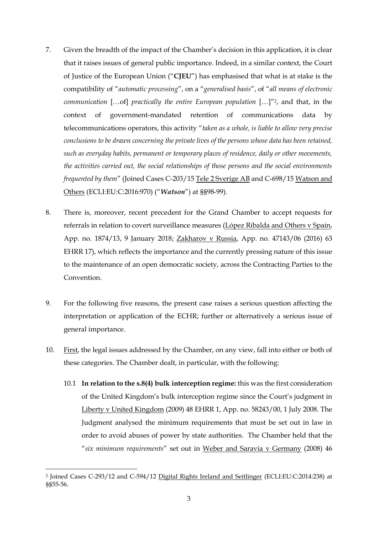- 7. Given the breadth of the impact of the Chamber's decision in this application, it is clear that it raises issues of general public importance. Indeed, in a similar context, the Court of Justice of the European Union ("**CJEU**") has emphasised that what is at stake is the compatibility of "*automatic processing*", on a "*generalised basis*", of "*all means of electronic communication* […of] *practically the entire European population* […]"2, and that, in the context of government-mandated retention of communications data by telecommunications operators, this activity "*taken as a whole, is liable to allow very precise conclusions to be drawn concerning the private lives of the persons whose data has been retained, such as everyday habits, permanent or temporary places of residence, daily or other movements, the activities carried out, the social relationships of those persons and the social environments frequented by them*" (Joined Cases C-203/15 Tele 2 Sverige AB and C-698/15 Watson and Others (ECLI:EU:C:2016:970) ("*Watson*") at §§98-99).
- 8. There is, moreover, recent precedent for the Grand Chamber to accept requests for referrals in relation to covert surveillance measures (López Ribalda and Others v Spain, App. no. 1874/13, 9 January 2018; Zakharov v Russia, App. no. 47143/06 (2016) 63 EHRR 17), which reflects the importance and the currently pressing nature of this issue to the maintenance of an open democratic society, across the Contracting Parties to the Convention.
- 9. For the following five reasons, the present case raises a serious question affecting the interpretation or application of the ECHR; further or alternatively a serious issue of general importance.
- 10. First, the legal issues addressed by the Chamber, on any view, fall into either or both of these categories. The Chamber dealt, in particular, with the following:
	- 10.1 **In relation to the s.8(4) bulk interception regime:** this was the first consideration of the United Kingdom's bulk interception regime since the Court's judgment in Liberty v United Kingdom (2009) 48 EHRR 1, App. no. 58243/00, 1 July 2008. The Judgment analysed the minimum requirements that must be set out in law in order to avoid abuses of power by state authorities. The Chamber held that the "*six minimum requirements*" set out in Weber and Saravia v Germany (2008) 46

<sup>&</sup>lt;sup>2</sup> Joined Cases C-293/12 and C-594/12 Digital Rights Ireland and Seitlinger (ECLI:EU:C:2014:238) at §§55-56.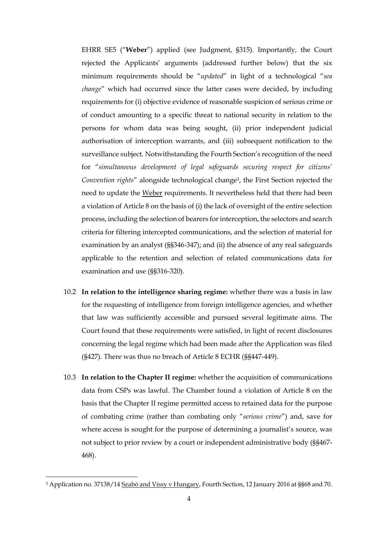EHRR SE5 ("**Weber**") applied (see Judgment, §315). Importantly, the Court rejected the Applicants' arguments (addressed further below) that the six minimum requirements should be "*updated*" in light of a technological "*sea change*" which had occurred since the latter cases were decided, by including requirements for (i) objective evidence of reasonable suspicion of serious crime or of conduct amounting to a specific threat to national security in relation to the persons for whom data was being sought, (ii) prior independent judicial authorisation of interception warrants, and (iii) subsequent notification to the surveillance subject. Notwithstanding the Fourth Section's recognition of the need for "*simultaneous development of legal safeguards securing respect for citizens' Convention rights*" alongside technological change3, the First Section rejected the need to update the Weber requirements. It nevertheless held that there had been a violation of Article 8 on the basis of (i) the lack of oversight of the entire selection process, including the selection of bearers for interception, the selectors and search criteria for filtering intercepted communications, and the selection of material for examination by an analyst (§§346-347); and (ii) the absence of any real safeguards applicable to the retention and selection of related communications data for examination and use (§§316-320).

- 10.2 **In relation to the intelligence sharing regime:** whether there was a basis in law for the requesting of intelligence from foreign intelligence agencies, and whether that law was sufficiently accessible and pursued several legitimate aims. The Court found that these requirements were satisfied, in light of recent disclosures concerning the legal regime which had been made after the Application was filed (§427). There was thus no breach of Article 8 ECHR (§§447-449).
- 10.3 **In relation to the Chapter II regime:** whether the acquisition of communications data from CSPs was lawful. The Chamber found a violation of Article 8 on the basis that the Chapter II regime permitted access to retained data for the purpose of combating crime (rather than combating only "*serious crime*") and, save for where access is sought for the purpose of determining a journalist's source, was not subject to prior review by a court or independent administrative body (§§467- 468).

<sup>3</sup> Application no. 37138/14 Szabó and Vissy v Hungary, Fourth Section, 12 January 2016 at §§68 and 70.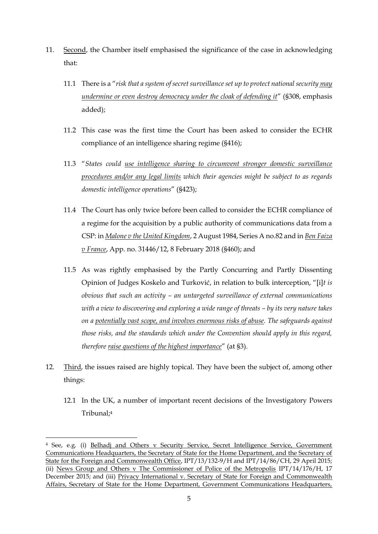- 11. Second, the Chamber itself emphasised the significance of the case in acknowledging that:
	- 11.1 There is a "*risk that a system of secret surveillance set up to protect national security may undermine or even destroy democracy under the cloak of defending it*" (§308, emphasis added);
	- 11.2 This case was the first time the Court has been asked to consider the ECHR compliance of an intelligence sharing regime (§416);
	- 11.3 "*States could use intelligence sharing to circumvent stronger domestic surveillance procedures and/or any legal limits which their agencies might be subject to as regards domestic intelligence operations*" (§423);
	- 11.4 The Court has only twice before been called to consider the ECHR compliance of a regime for the acquisition by a public authority of communications data from a CSP: in *Malone v the United Kingdom*, 2 August 1984, Series A no.82 and in *Ben Faiza v France*, App. no. 31446/12, 8 February 2018 (§460); and
	- 11.5 As was rightly emphasised by the Partly Concurring and Partly Dissenting Opinion of Judges Koskelo and Turković, in relation to bulk interception, "[i]*t is obvious that such an activity – an untargeted surveillance of external communications with a view to discovering and exploring a wide range of threats – by its very nature takes on a potentially vast scope, and involves enormous risks of abuse. The safeguards against those risks, and the standards which under the Convention should apply in this regard, therefore raise questions of the highest importance*" (at §3).
- 12. Third, the issues raised are highly topical. They have been the subject of, among other things:
	- 12.1 In the UK, a number of important recent decisions of the Investigatory Powers Tribunal; 4

<sup>4</sup> See, e.g. (i) Belhadj and Others v Security Service, Secret Intelligence Service, Government Communications Headquarters, the Secretary of State for the Home Department, and the Secretary of State for the Foreign and Commonwealth Office, IPT/13/132-9/H and IPT/14/86/CH, 29 April 2015; (ii) News Group and Others v The Commissioner of Police of the Metropolis IPT/14/176/H, 17 December 2015; and (iii) Privacy International v. Secretary of State for Foreign and Commonwealth Affairs, Secretary of State for the Home Department, Government Communications Headquarters,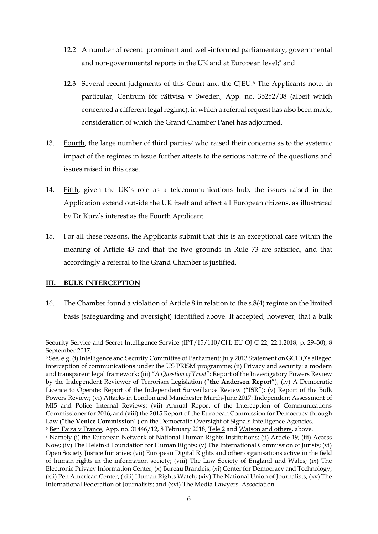- 12.2 A number of recent prominent and well-informed parliamentary, governmental and non-governmental reports in the UK and at European level;<sup>5</sup> and
- 12.3 Several recent judgments of this Court and the CJEU. <sup>6</sup> The Applicants note, in particular, Centrum för rättvisa v Sweden, App. no. 35252/08 (albeit which concerned a different legal regime), in which a referral request has also been made, consideration of which the Grand Chamber Panel has adjourned.
- 13. Fourth, the large number of third parties<sup>7</sup> who raised their concerns as to the systemic impact of the regimes in issue further attests to the serious nature of the questions and issues raised in this case.
- 14. Fifth, given the UK's role as a telecommunications hub, the issues raised in the Application extend outside the UK itself and affect all European citizens, as illustrated by Dr Kurz's interest as the Fourth Applicant.
- 15. For all these reasons, the Applicants submit that this is an exceptional case within the meaning of Article 43 and that the two grounds in Rule 73 are satisfied, and that accordingly a referral to the Grand Chamber is justified.

## **III. BULK INTERCEPTION**

1

16. The Chamber found a violation of Article 8 in relation to the s.8(4) regime on the limited basis (safeguarding and oversight) identified above. It accepted, however, that a bulk

Security Service and Secret Intelligence Service (IPT/15/110/CH; EU OJ C 22, 22.1.2018, p. 29–30), 8 September 2017.

<sup>&</sup>lt;sup>5</sup> See, e.g. (i) Intelligence and Security Committee of Parliament: July 2013 Statement on GCHQ's alleged interception of communications under the US PRISM programme; (ii) Privacy and security: a modern and transparent legal framework; (iii) "*A Question of Trust*": Report of the Investigatory Powers Review by the Independent Reviewer of Terrorism Legislation ("**the Anderson Report**"); (iv) A Democratic Licence to Operate: Report of the Independent Surveillance Review ("ISR"); (v) Report of the Bulk Powers Review; (vi) Attacks in London and Manchester March-June 2017: Independent Assessment of MI5 and Police Internal Reviews; (vii) Annual Report of the Interception of Communications Commissioner for 2016; and (viii) the 2015 Report of the European Commission for Democracy through Law ("**the Venice Commission**") on the Democratic Oversight of Signals Intelligence Agencies. <sup>6</sup> Ben Faiza v France, App. no. 31446/12, 8 February 2018; Tele 2 and Watson and others, above.

<sup>7</sup> Namely (i) the European Network of National Human Rights Institutions; (ii) Article 19; (iii) Access Now; (iv) The Helsinki Foundation for Human Rights; (v) The International Commission of Jurists; (vi) Open Society Justice Initiative; (vii) European Digital Rights and other organisations active in the field of human rights in the information society; (viii) The Law Society of England and Wales; (ix) The Electronic Privacy Information Center; (x) Bureau Brandeis; (xi) Center for Democracy and Technology; (xii) Pen American Center; (xiii) Human Rights Watch; (xiv) The National Union of Journalists; (xv) The International Federation of Journalists; and (xvi) The Media Lawyers' Association.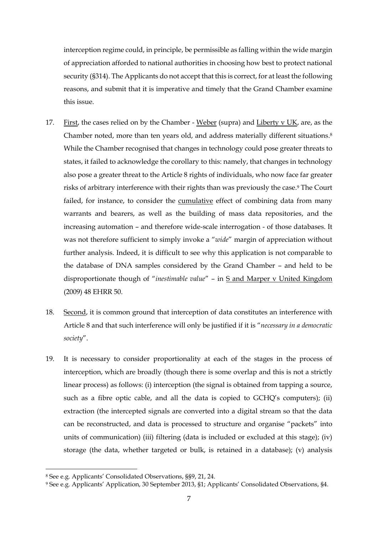interception regime could, in principle, be permissible as falling within the wide margin of appreciation afforded to national authorities in choosing how best to protect national security (§314). The Applicants do not accept that this is correct, for at least the following reasons, and submit that it is imperative and timely that the Grand Chamber examine this issue.

- 17. First, the cases relied on by the Chamber Weber (supra) and Liberty v UK, are, as the Chamber noted, more than ten years old, and address materially different situations. 8 While the Chamber recognised that changes in technology could pose greater threats to states, it failed to acknowledge the corollary to this: namely, that changes in technology also pose a greater threat to the Article 8 rights of individuals, who now face far greater risks of arbitrary interference with their rights than was previously the case. <sup>9</sup> The Court failed, for instance, to consider the cumulative effect of combining data from many warrants and bearers, as well as the building of mass data repositories, and the increasing automation – and therefore wide-scale interrogation - of those databases. It was not therefore sufficient to simply invoke a "*wide*" margin of appreciation without further analysis. Indeed, it is difficult to see why this application is not comparable to the database of DNA samples considered by the Grand Chamber – and held to be disproportionate though of "*inestimable value*" – in S and Marper v United Kingdom (2009) 48 EHRR 50.
- 18. Second, it is common ground that interception of data constitutes an interference with Article 8 and that such interference will only be justified if it is "*necessary in a democratic society*".
- 19. It is necessary to consider proportionality at each of the stages in the process of interception, which are broadly (though there is some overlap and this is not a strictly linear process) as follows: (i) interception (the signal is obtained from tapping a source, such as a fibre optic cable, and all the data is copied to GCHQ's computers); (ii) extraction (the intercepted signals are converted into a digital stream so that the data can be reconstructed, and data is processed to structure and organise "packets" into units of communication) (iii) filtering (data is included or excluded at this stage); (iv) storage (the data, whether targeted or bulk, is retained in a database); (v) analysis

<sup>8</sup> See e.g. Applicants' Consolidated Observations, §§9, 21, 24.

<sup>9</sup> See e.g. Applicants' Application, 30 September 2013, §1; Applicants' Consolidated Observations, §4.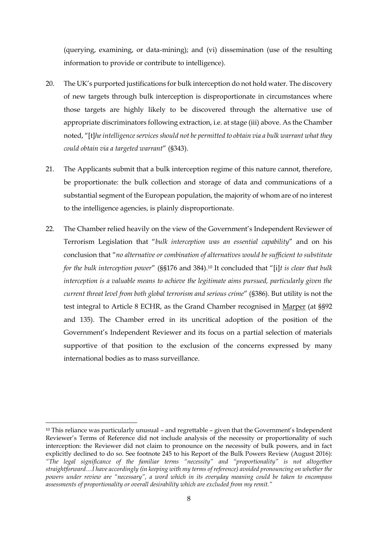(querying, examining, or data-mining); and (vi) dissemination (use of the resulting information to provide or contribute to intelligence).

- 20. The UK's purported justifications for bulk interception do not hold water. The discovery of new targets through bulk interception is disproportionate in circumstances where those targets are highly likely to be discovered through the alternative use of appropriate discriminators following extraction, i.e. at stage (iii) above. As the Chamber noted, "[t]*he intelligence services should not be permitted to obtain via a bulk warrant what they could obtain via a targeted warrant*" (§343).
- 21. The Applicants submit that a bulk interception regime of this nature cannot, therefore, be proportionate: the bulk collection and storage of data and communications of a substantial segment of the European population, the majority of whom are of no interest to the intelligence agencies, is plainly disproportionate.
- 22. The Chamber relied heavily on the view of the Government's Independent Reviewer of Terrorism Legislation that "*bulk interception was an essential capability*" and on his conclusion that "*no alternative or combination of alternatives would be sufficient to substitute for the bulk interception power*" (§§176 and 384). <sup>10</sup> It concluded that "[i]*t is clear that bulk interception is a valuable means to achieve the legitimate aims pursued, particularly given the current threat level from both global terrorism and serious crime*" (§386). But utility is not the test integral to Article 8 ECHR, as the Grand Chamber recognised in Marper (at §§92 and 135). The Chamber erred in its uncritical adoption of the position of the Government's Independent Reviewer and its focus on a partial selection of materials supportive of that position to the exclusion of the concerns expressed by many international bodies as to mass surveillance.

1

 $10$  This reliance was particularly unusual – and regrettable – given that the Government's Independent Reviewer's Terms of Reference did not include analysis of the necessity or proportionality of such interception: the Reviewer did not claim to pronounce on the necessity of bulk powers, and in fact explicitly declined to do so. See footnote 245 to his Report of the Bulk Powers Review (August 2016): *"The legal significance of the familiar terms "necessity" and "proportionality" is not altogether straightforward…I have accordingly (in keeping with my terms of reference) avoided pronouncing on whether the powers under review are "necessary", a word which in its everyday meaning could be taken to encompass assessments of proportionality or overall desirability which are excluded from my remit."*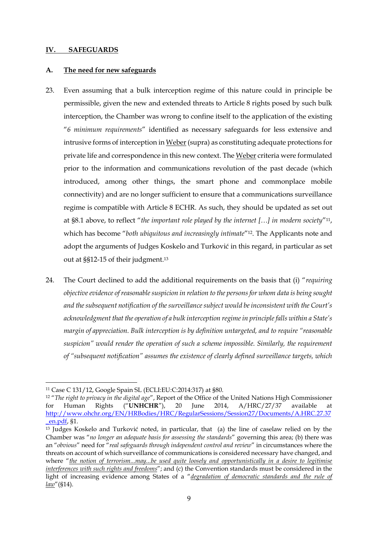#### **IV. SAFEGUARDS**

#### **A. The need for new safeguards**

- 23. Even assuming that a bulk interception regime of this nature could in principle be permissible, given the new and extended threats to Article 8 rights posed by such bulk interception, the Chamber was wrong to confine itself to the application of the existing "*6 minimum requirements*" identified as necessary safeguards for less extensive and intrusive forms of interception in Weber(supra) as constituting adequate protections for private life and correspondence in this new context. The Weber criteria were formulated prior to the information and communications revolution of the past decade (which introduced, among other things, the smart phone and commonplace mobile connectivity) and are no longer sufficient to ensure that a communications surveillance regime is compatible with Article 8 ECHR. As such, they should be updated as set out at §8.1 above, to reflect "*the important role played by the internet […] in modern society*"11, which has become "*both ubiquitous and increasingly intimate*"12. The Applicants note and adopt the arguments of Judges Koskelo and Turković in this regard, in particular as set out at §§12-15 of their judgment.<sup>13</sup>
- 24. The Court declined to add the additional requirements on the basis that (i) "*requiring objective evidence of reasonable suspicion in relation to the persons for whom data is being sought and the subsequent notification of the surveillance subject would be inconsistent with the Court's acknowledgment that the operation of a bulk interception regime in principle falls within a State's margin of appreciation. Bulk interception is by definition untargeted, and to require "reasonable suspicion" would render the operation of such a scheme impossible. Similarly, the requirement of "subsequent notification" assumes the existence of clearly defined surveillance targets, which*

<sup>1</sup> <sup>11</sup> Case C 131/12, Google Spain SL (ECLI:EU:C:2014:317) at §80.

<sup>12</sup> "*The right to privacy in the digital age*", Report of the Office of the United Nations High Commissioner for Human Rights ("**UNHCHR**"), 20 June 2014, A/HRC/27/37 available at [http://www.ohchr.org/EN/HRBodies/HRC/RegularSessions/Session27/Documents/A.HRC.27.37](http://www.ohchr.org/EN/HRBodies/HRC/RegularSessions/Session27/Documents/A.HRC.27.37_en.pdf) [\\_en.pdf,](http://www.ohchr.org/EN/HRBodies/HRC/RegularSessions/Session27/Documents/A.HRC.27.37_en.pdf) §1.

<sup>13</sup> Judges Koskelo and Turković noted, in particular, that (a) the line of caselaw relied on by the Chamber was "*no longer an adequate basis for assessing the standards*" governing this area; (b) there was an "*obvious*" need for "*real safeguards through independent control and review*" in circumstances where the threats on account of which surveillance of communications is considered necessary have changed, and where "*the notion of terrorism...may...be used quite loosely and opportunistically in a desire to legitimise interferences with such rights and freedoms*"; and (c) the Convention standards must be considered in the light of increasing evidence among States of a "*degradation of democratic standards and the rule of law*"(§14).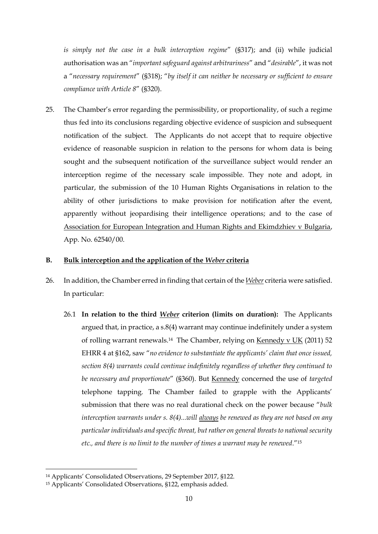*is simply not the case in a bulk interception regime*" (§317); and (ii) while judicial authorisation was an "*important safeguard against arbitrariness*" and "*desirable*", it was not a "*necessary requirement*" (§318); "*by itself it can neither be necessary or sufficient to ensure compliance with Article 8*" (§320).

25. The Chamber's error regarding the permissibility, or proportionality, of such a regime thus fed into its conclusions regarding objective evidence of suspicion and subsequent notification of the subject. The Applicants do not accept that to require objective evidence of reasonable suspicion in relation to the persons for whom data is being sought and the subsequent notification of the surveillance subject would render an interception regime of the necessary scale impossible. They note and adopt, in particular, the submission of the 10 Human Rights Organisations in relation to the ability of other jurisdictions to make provision for notification after the event, apparently without jeopardising their intelligence operations; and to the case of Association for European Integration and Human Rights and Ekimdzhiev v Bulgaria, App. No. 62540/00.

## **B. Bulk interception and the application of the** *Weber* **criteria**

- 26. In addition, the Chamber erred in finding that certain of the *Weber* criteria were satisfied. In particular:
	- 26.1 **In relation to the third** *Weber* **criterion (limits on duration):** The Applicants argued that, in practice, a s.8(4) warrant may continue indefinitely under a system of rolling warrant renewals.14 The Chamber, relying on Kennedy v UK (2011) 52 EHRR 4 at §162, saw "*no evidence to substantiate the applicants' claim that once issued, section 8(4) warrants could continue indefinitely regardless of whether they continued to be necessary and proportionate*" (§360). But Kennedy concerned the use of *targeted* telephone tapping. The Chamber failed to grapple with the Applicants' submission that there was no real durational check on the power because "*bulk interception warrants under s. 8(4)...will always be renewed as they are not based on any particular individuals and specific threat, but rather on general threats to national security etc., and there is no limit to the number of times a warrant may be renewed*."<sup>15</sup>

<sup>14</sup> Applicants' Consolidated Observations, 29 September 2017, §122.

<sup>15</sup> Applicants' Consolidated Observations, §122, emphasis added.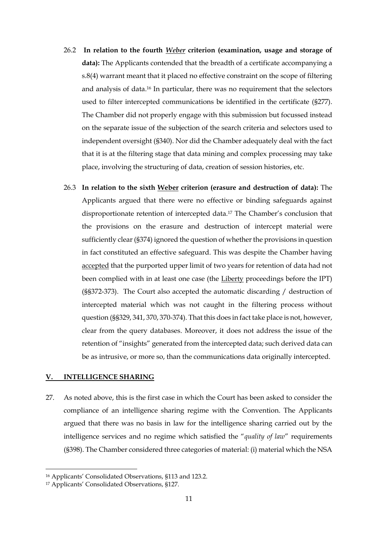- 26.2 **In relation to the fourth** *Weber* **criterion (examination, usage and storage of data):** The Applicants contended that the breadth of a certificate accompanying a s.8(4) warrant meant that it placed no effective constraint on the scope of filtering and analysis of data.<sup>16</sup> In particular, there was no requirement that the selectors used to filter intercepted communications be identified in the certificate (§277). The Chamber did not properly engage with this submission but focussed instead on the separate issue of the subjection of the search criteria and selectors used to independent oversight (§340). Nor did the Chamber adequately deal with the fact that it is at the filtering stage that data mining and complex processing may take place, involving the structuring of data, creation of session histories, etc.
- 26.3 **In relation to the sixth Weber criterion (erasure and destruction of data):** The Applicants argued that there were no effective or binding safeguards against disproportionate retention of intercepted data.<sup>17</sup> The Chamber's conclusion that the provisions on the erasure and destruction of intercept material were sufficiently clear (§374) ignored the question of whether the provisions in question in fact constituted an effective safeguard. This was despite the Chamber having accepted that the purported upper limit of two years for retention of data had not been complied with in at least one case (the Liberty proceedings before the IPT) (§§372-373). The Court also accepted the automatic discarding / destruction of intercepted material which was not caught in the filtering process without question (§§329, 341, 370, 370-374). That this does in fact take place is not, however, clear from the query databases. Moreover, it does not address the issue of the retention of "insights" generated from the intercepted data; such derived data can be as intrusive, or more so, than the communications data originally intercepted.

#### **V. INTELLIGENCE SHARING**

27. As noted above, this is the first case in which the Court has been asked to consider the compliance of an intelligence sharing regime with the Convention. The Applicants argued that there was no basis in law for the intelligence sharing carried out by the intelligence services and no regime which satisfied the "*quality of law*" requirements (§398). The Chamber considered three categories of material: (i) material which the NSA

<sup>16</sup> Applicants' Consolidated Observations, §113 and 123.2.

<sup>17</sup> Applicants' Consolidated Observations, §127.